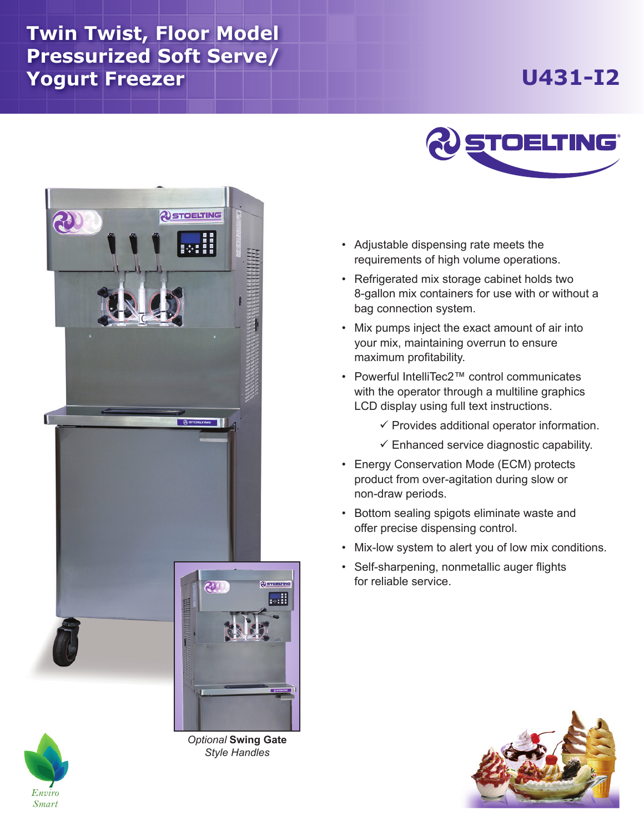## **Twin Twist, Floor Model Pressurized Soft Serve/ Yogurt Freezer**

## **U431-I2**





*Optional* **Swing Gate** *Style Handles*



- • Adjustable dispensing rate meets the requirements of high volume operations.
- • Refrigerated mix storage cabinet holds two 8-gallon mix containers for use with or without a bag connection system.
- Mix pumps inject the exact amount of air into your mix, maintaining overrun to ensure maximum profitability.
- Powerful IntelliTec2™ control communicates with the operator through a multiline graphics LCD display using full text instructions.
	- $\checkmark$  Provides additional operator information.
	- $\checkmark$  Enhanced service diagnostic capability.
- Energy Conservation Mode (ECM) protects product from over-agitation during slow or non-draw periods.
- • Bottom sealing spigots eliminate waste and offer precise dispensing control.
- Mix-low system to alert you of low mix conditions.
- Self-sharpening, nonmetallic auger flights for reliable service.